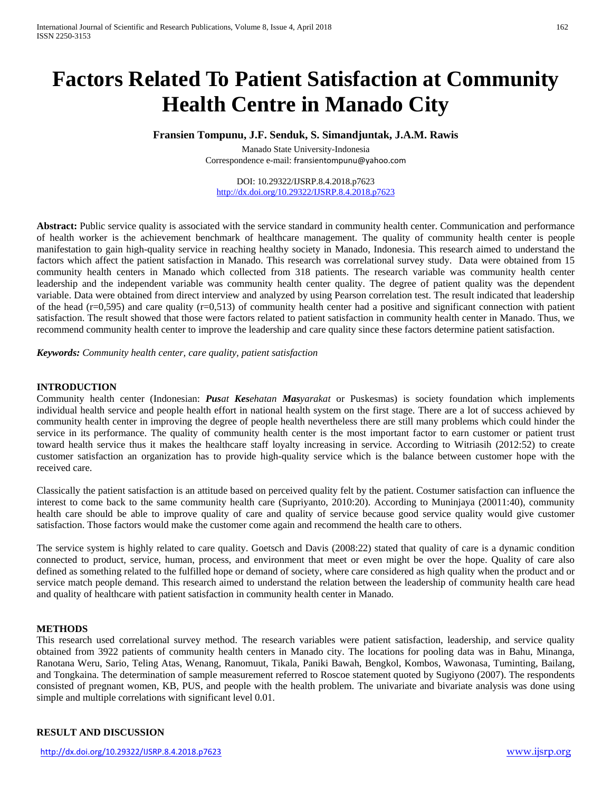# **Factors Related To Patient Satisfaction at Community Health Centre in Manado City**

## **Fransien Tompunu, J.F. Senduk, S. Simandjuntak, J.A.M. Rawis**

Manado State University-Indonesia Correspondence e-mail: [fransientompunu@yahoo.com](mailto:fransientompunu@yahoo.com)

DOI: 10.29322/IJSRP.8.4.2018.p7623 <http://dx.doi.org/10.29322/IJSRP.8.4.2018.p7623>

Abstract: Public service quality is associated with the service standard in community health center. Communication and performance of health worker is the achievement benchmark of healthcare management. The quality of community health center is people manifestation to gain high-quality service in reaching healthy society in Manado, Indonesia. This research aimed to understand the factors which affect the patient satisfaction in Manado. This research was correlational survey study. Data were obtained from 15 community health centers in Manado which collected from 318 patients. The research variable was community health center leadership and the independent variable was community health center quality. The degree of patient quality was the dependent variable. Data were obtained from direct interview and analyzed by using Pearson correlation test. The result indicated that leadership of the head  $(r=0.595)$  and care quality  $(r=0.513)$  of community health center had a positive and significant connection with patient satisfaction. The result showed that those were factors related to patient satisfaction in community health center in Manado. Thus, we recommend community health center to improve the leadership and care quality since these factors determine patient satisfaction.

*Keywords: Community health center, care quality, patient satisfaction*

### **INTRODUCTION**

Community health center (Indonesian: *Pusat Kesehatan Masyarakat* or Puskesmas) is society foundation which implements individual health service and people health effort in national health system on the first stage. There are a lot of success achieved by community health center in improving the degree of people health nevertheless there are still many problems which could hinder the service in its performance. The quality of community health center is the most important factor to earn customer or patient trust toward health service thus it makes the healthcare staff loyalty increasing in service. According to Witriasih (2012:52) to create customer satisfaction an organization has to provide high-quality service which is the balance between customer hope with the received care.

Classically the patient satisfaction is an attitude based on perceived quality felt by the patient. Costumer satisfaction can influence the interest to come back to the same community health care (Supriyanto, 2010:20). According to Muninjaya (20011:40), community health care should be able to improve quality of care and quality of service because good service quality would give customer satisfaction. Those factors would make the customer come again and recommend the health care to others.

The service system is highly related to care quality. Goetsch and Davis (2008:22) stated that quality of care is a dynamic condition connected to product, service, human, process, and environment that meet or even might be over the hope. Quality of care also defined as something related to the fulfilled hope or demand of society, where care considered as high quality when the product and or service match people demand. This research aimed to understand the relation between the leadership of community health care head and quality of healthcare with patient satisfaction in community health center in Manado.

#### **METHODS**

This research used correlational survey method. The research variables were patient satisfaction, leadership, and service quality obtained from 3922 patients of community health centers in Manado city. The locations for pooling data was in Bahu, Minanga, Ranotana Weru, Sario, Teling Atas, Wenang, Ranomuut, Tikala, Paniki Bawah, Bengkol, Kombos, Wawonasa, Tuminting, Bailang, and Tongkaina. The determination of sample measurement referred to Roscoe statement quoted by Sugiyono (2007). The respondents consisted of pregnant women, KB, PUS, and people with the health problem. The univariate and bivariate analysis was done using simple and multiple correlations with significant level 0.01.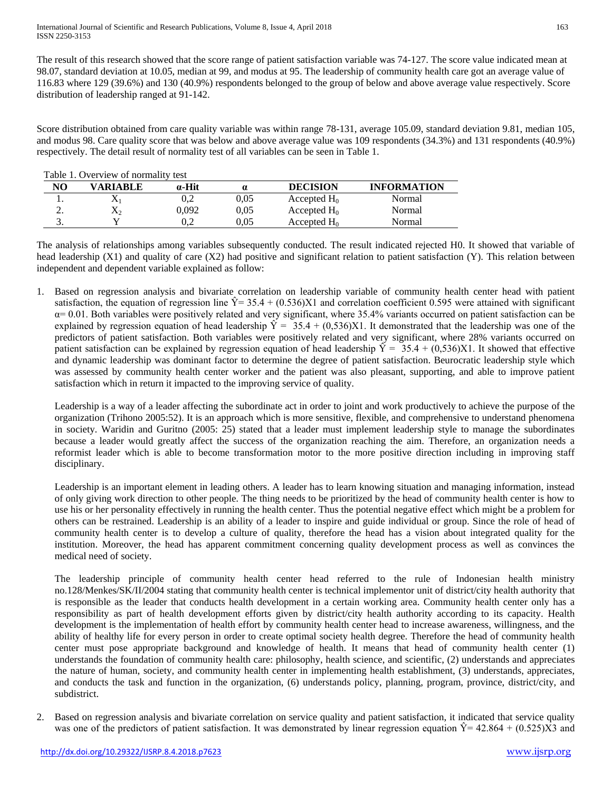The result of this research showed that the score range of patient satisfaction variable was 74-127. The score value indicated mean at 98.07, standard deviation at 10.05, median at 99, and modus at 95. The leadership of community health care got an average value of 116.83 where 129 (39.6%) and 130 (40.9%) respondents belonged to the group of below and above average value respectively. Score distribution of leadership ranged at 91-142.

Score distribution obtained from care quality variable was within range 78-131, average 105.09, standard deviation 9.81, median 105, and modus 98. Care quality score that was below and above average value was 109 respondents (34.3%) and 131 respondents (40.9%) respectively. The detail result of normality test of all variables can be seen in Table 1.

| Table 1. Overview of normality test |           |               |      |                 |                    |
|-------------------------------------|-----------|---------------|------|-----------------|--------------------|
| NO                                  | VARIABLE  | $\alpha$ -Hit | α    | <b>DECISION</b> | <b>INFORMATION</b> |
|                                     |           | 0.2           | 0.05 | Accepted $H_0$  | Normal             |
| <u>.</u>                            | $\Lambda$ | 0.092         | 0.05 | Accepted $H_0$  | Normal             |
| J.                                  |           | 0.2           | 0.05 | Accepted $H_0$  | Normal             |

The analysis of relationships among variables subsequently conducted. The result indicated rejected H0. It showed that variable of head leadership (X1) and quality of care (X2) had positive and significant relation to patient satisfaction (Y). This relation between independent and dependent variable explained as follow:

1. Based on regression analysis and bivariate correlation on leadership variable of community health center head with patient satisfaction, the equation of regression line  $\hat{Y} = 35.4 + (0.536)X1$  and correlation coefficient 0.595 were attained with significant  $\alpha$  = 0.01. Both variables were positively related and very significant, where 35.4% variants occurred on patient satisfaction can be explained by regression equation of head leadership  $\hat{Y} = 35.4 + (0.536)X1$ . It demonstrated that the leadership was one of the predictors of patient satisfaction. Both variables were positively related and very significant, where 28% variants occurred on patient satisfaction can be explained by regression equation of head leadership  $\hat{Y} = 35.4 + (0.536)X1$ . It showed that effective and dynamic leadership was dominant factor to determine the degree of patient satisfaction. Beurocratic leadership style which was assessed by community health center worker and the patient was also pleasant, supporting, and able to improve patient satisfaction which in return it impacted to the improving service of quality.

Leadership is a way of a leader affecting the subordinate act in order to joint and work productively to achieve the purpose of the organization (Trihono 2005:52). It is an approach which is more sensitive, flexible, and comprehensive to understand phenomena in society. Waridin and Guritno (2005: 25) stated that a leader must implement leadership style to manage the subordinates because a leader would greatly affect the success of the organization reaching the aim. Therefore, an organization needs a reformist leader which is able to become transformation motor to the more positive direction including in improving staff disciplinary.

Leadership is an important element in leading others. A leader has to learn knowing situation and managing information, instead of only giving work direction to other people. The thing needs to be prioritized by the head of community health center is how to use his or her personality effectively in running the health center. Thus the potential negative effect which might be a problem for others can be restrained. Leadership is an ability of a leader to inspire and guide individual or group. Since the role of head of community health center is to develop a culture of quality, therefore the head has a vision about integrated quality for the institution. Moreover, the head has apparent commitment concerning quality development process as well as convinces the medical need of society.

The leadership principle of community health center head referred to the rule of Indonesian health ministry no.128/Menkes/SK/II/2004 stating that community health center is technical implementor unit of district/city health authority that is responsible as the leader that conducts health development in a certain working area. Community health center only has a responsibility as part of health development efforts given by district/city health authority according to its capacity. Health development is the implementation of health effort by community health center head to increase awareness, willingness, and the ability of healthy life for every person in order to create optimal society health degree. Therefore the head of community health center must pose appropriate background and knowledge of health. It means that head of community health center (1) understands the foundation of community health care: philosophy, health science, and scientific, (2) understands and appreciates the nature of human, society, and community health center in implementing health establishment, (3) understands, appreciates, and conducts the task and function in the organization, (6) understands policy, planning, program, province, district/city, and subdistrict.

2. Based on regression analysis and bivariate correlation on service quality and patient satisfaction, it indicated that service quality was one of the predictors of patient satisfaction. It was demonstrated by linear regression equation  $\hat{Y} = 42.864 + (0.525)\hat{X}$  and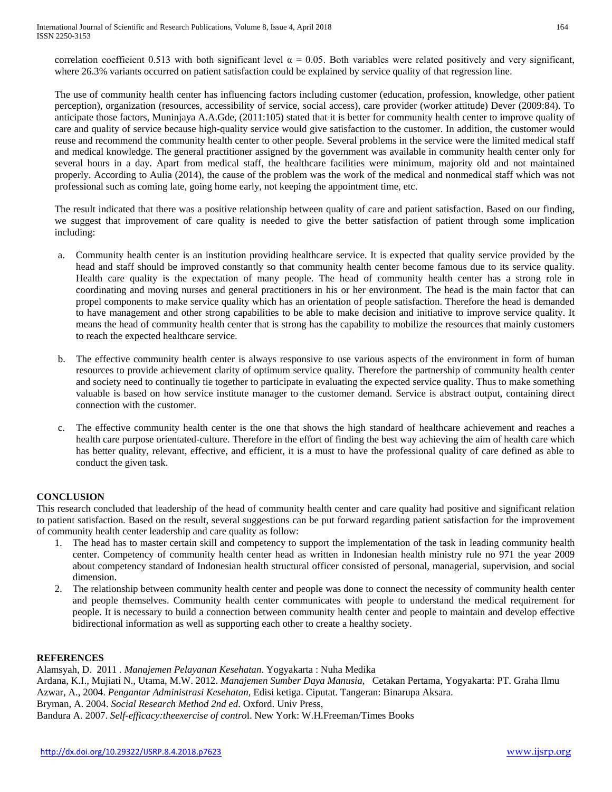correlation coefficient 0.513 with both significant level  $\alpha = 0.05$ . Both variables were related positively and very significant, where 26.3% variants occurred on patient satisfaction could be explained by service quality of that regression line.

The use of community health center has influencing factors including customer (education, profession, knowledge, other patient perception), organization (resources, accessibility of service, social access), care provider (worker attitude) Dever (2009:84). To anticipate those factors, Muninjaya A.A.Gde, (2011:105) stated that it is better for community health center to improve quality of care and quality of service because high-quality service would give satisfaction to the customer. In addition, the customer would reuse and recommend the community health center to other people. Several problems in the service were the limited medical staff and medical knowledge. The general practitioner assigned by the government was available in community health center only for several hours in a day. Apart from medical staff, the healthcare facilities were minimum, majority old and not maintained properly. According to Aulia (2014), the cause of the problem was the work of the medical and nonmedical staff which was not professional such as coming late, going home early, not keeping the appointment time, etc.

The result indicated that there was a positive relationship between quality of care and patient satisfaction. Based on our finding, we suggest that improvement of care quality is needed to give the better satisfaction of patient through some implication including:

- a. Community health center is an institution providing healthcare service. It is expected that quality service provided by the head and staff should be improved constantly so that community health center become famous due to its service quality. Health care quality is the expectation of many people. The head of community health center has a strong role in coordinating and moving nurses and general practitioners in his or her environment. The head is the main factor that can propel components to make service quality which has an orientation of people satisfaction. Therefore the head is demanded to have management and other strong capabilities to be able to make decision and initiative to improve service quality. It means the head of community health center that is strong has the capability to mobilize the resources that mainly customers to reach the expected healthcare service.
- b. The effective community health center is always responsive to use various aspects of the environment in form of human resources to provide achievement clarity of optimum service quality. Therefore the partnership of community health center and society need to continually tie together to participate in evaluating the expected service quality. Thus to make something valuable is based on how service institute manager to the customer demand. Service is abstract output, containing direct connection with the customer.
- c. The effective community health center is the one that shows the high standard of healthcare achievement and reaches a health care purpose orientated-culture. Therefore in the effort of finding the best way achieving the aim of health care which has better quality, relevant, effective, and efficient, it is a must to have the professional quality of care defined as able to conduct the given task.

## **CONCLUSION**

This research concluded that leadership of the head of community health center and care quality had positive and significant relation to patient satisfaction. Based on the result, several suggestions can be put forward regarding patient satisfaction for the improvement of community health center leadership and care quality as follow:

- 1. The head has to master certain skill and competency to support the implementation of the task in leading community health center. Competency of community health center head as written in Indonesian health ministry rule no 971 the year 2009 about competency standard of Indonesian health structural officer consisted of personal, managerial, supervision, and social dimension.
- 2. The relationship between community health center and people was done to connect the necessity of community health center and people themselves. Community health center communicates with people to understand the medical requirement for people. It is necessary to build a connection between community health center and people to maintain and develop effective bidirectional information as well as supporting each other to create a healthy society.

#### **REFERENCES**

Alamsyah, D. 2011 *. Manajemen Pelayanan Kesehatan*. Yogyakarta : Nuha Medika Ardana, K.I., Mujiati N., Utama, M.W. 2012. *Manajemen Sumber Daya Manusia*, Cetakan Pertama, Yogyakarta: PT. Graha Ilmu Azwar, A., 2004. *Pengantar Administrasi Kesehatan*, Edisi ketiga. Ciputat. Tangeran: Binarupa Aksara. Bryman, A. 2004. *Social Research Method 2nd ed*. Oxford. Univ Press, Bandura A. 2007. *Self-efficacy:theexercise of contro*l. New York: W.H.Freeman/Times Books